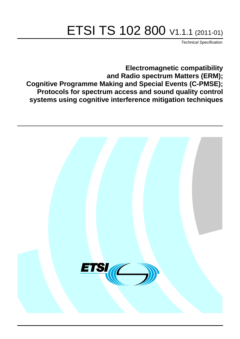# ETSI TS 102 800 V1.1.1 (2011-01)

*Technical Specification*

**Electromagnetic compatibility and Radio spectrum Matters (ERM); Cognitive Programme Making and Special Events (C-PMSE); Protocols for spectrum access and sound quality control systems using cognitive interference mitigation techniques**

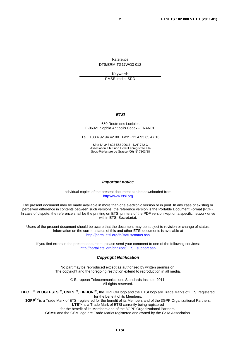Reference DTS/ERM-TG17WG3-012

Keywords PMSE, radio, SRD

#### *ETSI*

#### 650 Route des Lucioles F-06921 Sophia Antipolis Cedex - FRANCE

Tel.: +33 4 92 94 42 00 Fax: +33 4 93 65 47 16

Siret N° 348 623 562 00017 - NAF 742 C Association à but non lucratif enregistrée à la Sous-Préfecture de Grasse (06) N° 7803/88

#### *Important notice*

Individual copies of the present document can be downloaded from: [http://www.etsi.org](http://www.etsi.org/)

The present document may be made available in more than one electronic version or in print. In any case of existing or perceived difference in contents between such versions, the reference version is the Portable Document Format (PDF). In case of dispute, the reference shall be the printing on ETSI printers of the PDF version kept on a specific network drive within ETSI Secretariat.

Users of the present document should be aware that the document may be subject to revision or change of status. Information on the current status of this and other ETSI documents is available at <http://portal.etsi.org/tb/status/status.asp>

If you find errors in the present document, please send your comment to one of the following services: [http://portal.etsi.org/chaircor/ETSI\\_support.asp](http://portal.etsi.org/chaircor/ETSI_support.asp)

#### *Copyright Notification*

No part may be reproduced except as authorized by written permission. The copyright and the foregoing restriction extend to reproduction in all media.

> © European Telecommunications Standards Institute 2011. All rights reserved.

**DECT**TM, **PLUGTESTS**TM, **UMTS**TM, **TIPHON**TM, the TIPHON logo and the ETSI logo are Trade Marks of ETSI registered for the benefit of its Members.

**3GPP**TM is a Trade Mark of ETSI registered for the benefit of its Members and of the 3GPP Organizational Partners. **LTE**™ is a Trade Mark of ETSI currently being registered

for the benefit of its Members and of the 3GPP Organizational Partners.

**GSM**® and the GSM logo are Trade Marks registered and owned by the GSM Association.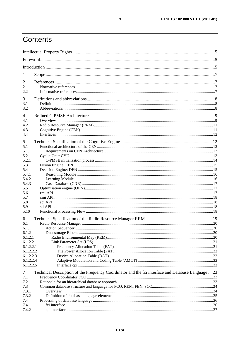# Contents

| 1                      |                                                                                                   |    |  |
|------------------------|---------------------------------------------------------------------------------------------------|----|--|
| 2                      |                                                                                                   |    |  |
| 2.1                    |                                                                                                   |    |  |
| 2.2                    |                                                                                                   |    |  |
| 3                      |                                                                                                   |    |  |
| 3.1                    |                                                                                                   |    |  |
| 3.2                    |                                                                                                   |    |  |
| 4                      |                                                                                                   |    |  |
| 4.1                    |                                                                                                   |    |  |
| 4.2                    |                                                                                                   |    |  |
| 4.3                    |                                                                                                   |    |  |
| 4.4                    |                                                                                                   |    |  |
| 5                      |                                                                                                   |    |  |
| 5.1                    |                                                                                                   |    |  |
| 5.1.1                  |                                                                                                   |    |  |
| 5.2                    |                                                                                                   |    |  |
| 5.2.1                  |                                                                                                   |    |  |
| 5.3                    |                                                                                                   |    |  |
| 5.4                    |                                                                                                   |    |  |
| 5.4.1                  |                                                                                                   |    |  |
| 5.4.2                  |                                                                                                   |    |  |
| 5.4.3<br>5.5           |                                                                                                   |    |  |
| 5.6                    |                                                                                                   |    |  |
| 5.7                    |                                                                                                   |    |  |
| 5.8                    |                                                                                                   |    |  |
| 5.9                    |                                                                                                   |    |  |
| 5.10                   |                                                                                                   |    |  |
| 6                      |                                                                                                   |    |  |
| 6.1                    |                                                                                                   |    |  |
| 6.1.1                  |                                                                                                   | 20 |  |
| 6.1.2                  |                                                                                                   |    |  |
| 6.1.2.1                |                                                                                                   |    |  |
| 6.1.2.2                |                                                                                                   |    |  |
| 6.1.2.2.1<br>6.1.2.2.2 |                                                                                                   |    |  |
| 6.1.2.2.3              |                                                                                                   |    |  |
| 6.1.2.2.4              |                                                                                                   |    |  |
| 6.1.2.2.5              |                                                                                                   |    |  |
| 7                      | Technical Description of the Frequency Coordinator and the fci interface and Database Language 23 |    |  |
| 7.1                    |                                                                                                   |    |  |
| 7.2                    |                                                                                                   |    |  |
| 7.3                    |                                                                                                   |    |  |
| 7.3.1                  |                                                                                                   |    |  |
| 7.3.2<br>7.4           |                                                                                                   |    |  |
| 7.4.1                  |                                                                                                   |    |  |
| 7.4.2                  |                                                                                                   |    |  |
|                        |                                                                                                   |    |  |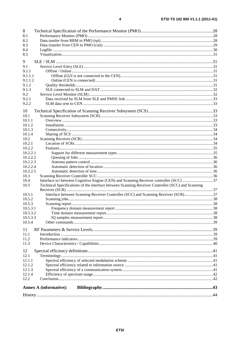| 8                                                                                                         |  |
|-----------------------------------------------------------------------------------------------------------|--|
| 8.1                                                                                                       |  |
| 8.2                                                                                                       |  |
| 8.3                                                                                                       |  |
| 8.4                                                                                                       |  |
| 8.5                                                                                                       |  |
|                                                                                                           |  |
| 9                                                                                                         |  |
| 9.1                                                                                                       |  |
| 9.1.1<br>9.1.1.1                                                                                          |  |
| 9.1.1.2                                                                                                   |  |
| 9.1.2                                                                                                     |  |
| 9.1.3                                                                                                     |  |
| 9.2                                                                                                       |  |
| 9.2.1                                                                                                     |  |
| 9.2.2                                                                                                     |  |
|                                                                                                           |  |
| 10                                                                                                        |  |
| 10.1                                                                                                      |  |
| 10.1.1                                                                                                    |  |
| 10.1.2                                                                                                    |  |
| 10.1.3                                                                                                    |  |
| 10.1.4                                                                                                    |  |
| 10.2                                                                                                      |  |
| 10.2.1                                                                                                    |  |
| 10.2.2                                                                                                    |  |
| 10.2.2.1                                                                                                  |  |
| 10.2.2.2                                                                                                  |  |
| 10.2.2.3<br>10.2.2.4                                                                                      |  |
| 10.2.2.5                                                                                                  |  |
| 10.3                                                                                                      |  |
| Interface sci between Cognitive Engine (CEN) and Scanning Receiver controller (SCC) 37<br>10.4            |  |
| Technical Specifications of the interface between Scanning Receiver Controller (SCC) and Scanning<br>10.5 |  |
|                                                                                                           |  |
| Interface between Scanning Receiver Controller (SCC) and Scanning Receiver (SCR)37<br>10.5.1              |  |
| 10.5.2                                                                                                    |  |
| 10.5.3                                                                                                    |  |
| 10.5.3.1                                                                                                  |  |
| 10.5.3.2                                                                                                  |  |
| 10.5.3.3                                                                                                  |  |
| 10.5.4                                                                                                    |  |
|                                                                                                           |  |
| 11<br>11.1                                                                                                |  |
| 11.2                                                                                                      |  |
| 11.3                                                                                                      |  |
|                                                                                                           |  |
| 12                                                                                                        |  |
| 12.1                                                                                                      |  |
| 12.1.1                                                                                                    |  |
| 12.1.2                                                                                                    |  |
| 12.1.3                                                                                                    |  |
| 12.1.4                                                                                                    |  |
| 12.2                                                                                                      |  |
| <b>Annex A (informative):</b>                                                                             |  |
|                                                                                                           |  |
|                                                                                                           |  |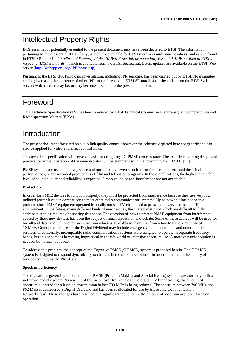# Intellectual Property Rights

IPRs essential or potentially essential to the present document may have been declared to ETSI. The information pertaining to these essential IPRs, if any, is publicly available for **ETSI members and non-members**, and can be found in ETSI SR 000 314: *"Intellectual Property Rights (IPRs); Essential, or potentially Essential, IPRs notified to ETSI in respect of ETSI standards"*, which is available from the ETSI Secretariat. Latest updates are available on the ETSI Web server [\(http://webapp.etsi.org/IPR/home.asp](http://webapp.etsi.org/IPR/home.asp)).

Pursuant to the ETSI IPR Policy, no investigation, including IPR searches, has been carried out by ETSI. No guarantee can be given as to the existence of other IPRs not referenced in ETSI SR 000 314 (or the updates on the ETSI Web server) which are, or may be, or may become, essential to the present document.

### Foreword

This Technical Specification (TS) has been produced by ETSI Technical Committee Electromagnetic compatibility and Radio spectrum Matters (ERM).

# Introduction

The present document focussed on audio link quality control; however the schemes depicted here are generic and can also be applied for video and effect control links.

This technical specification will serve as basis for designing a C-PMSE demonstrator. The experience during design and practical or virtual operation of the demonstrator will be summarized in the upcoming TR 102 801 [i.3].

PMSE systems are used to convey voice and music for live events such as conferences, concerts and theatrical performances, or for recorded productions of film and television programs. In these applications, the highest attainable level of sound quality and reliability is expected. Dropouts, noise and interference are not acceptable.

#### **Protection**

In order for PMSE devices to function properly, they must be protected from interference because they use very low radiated power levels in comparison to most other radio communications systems. Up to now this has not been a problem since PMSE equipment operated in locally unused TV channels that presented a very predictable RF environment. In the future, many different kinds of new devices, the characteristics of which are difficult to fully anticipate at this time, may be sharing this space. The question of how to protect PMSE equipment from interference caused by these new devices has been the subject of much discussion and debate. Some of these devices will be used for broadband data, and will occupy any spectrum which is available to them, i.e. from a few MHz to a multiple of 10 MHz. Other possible uses of the Digital Dividend may include emergency communications and other mobile services. Traditionally, incompatible radio communications systems were assigned to operate in separate frequency bands, but this scheme is becoming impractical in today's world of intensive spectrum use. A more dynamic solution is needed, but it must be robust.

To address this problem, the concept of the Cognitive PMSE (C-PMSE) system is proposed herein. The C-PMSE system is designed to respond dynamically to changes in the radio environment in order to maintain the quality of service required by the PMSE user.

#### **Spectrum efficiency**

The regulations governing the operation of PMSE (Program Making and Special Events) systems are currently in flux in Europe and elsewhere. As a result of the switchover from analogue to digital TV broadcasting, the amount of spectrum allocated for television transmission below 790 MHz is being reduced. The spectrum between 790 MHz and 862 MHz is considered a Digital Dividend and has been reallocated for use by Electronic Communication Networks [i.4]. These changes have resulted in a significant reduction in the amount of spectrum available for PSME operation.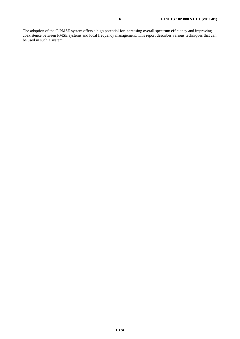The adoption of the C-PMSE system offers a high potential for increasing overall spectrum efficiency and improving coexistence between PMSE systems and local frequency management. This report describes various techniques that can be used in such a system.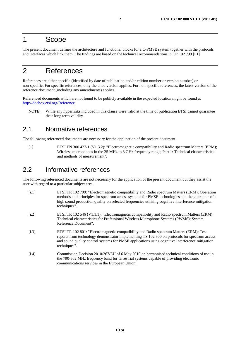# 1 Scope

The present document defines the architecture and functional blocks for a C-PMSE system together with the protocols and interfaces which link them. The findings are based on the technical recommendations in TR 102 799 [i.1].

# 2 References

References are either specific (identified by date of publication and/or edition number or version number) or non-specific. For specific references, only the cited version applies. For non-specific references, the latest version of the reference document (including any amendments) applies.

Referenced documents which are not found to be publicly available in the expected location might be found at <http://docbox.etsi.org/Reference>.

NOTE: While any hyperlinks included in this clause were valid at the time of publication ETSI cannot guarantee their long term validity.

### 2.1 Normative references

The following referenced documents are necessary for the application of the present document.

[1] ETSI EN 300 422-1 (V1.3.2): "Electromagnetic compatibility and Radio spectrum Matters (ERM); Wireless microphones in the 25 MHz to 3 GHz frequency range; Part 1: Technical characteristics and methods of measurement".

### 2.2 Informative references

The following referenced documents are not necessary for the application of the present document but they assist the user with regard to a particular subject area.

- [i.1] ETSI TR 102 799: "Electromagnetic compatibility and Radio spectrum Matters (ERM); Operation methods and principles for spectrum access systems for PMSE technologies and the guarantee of a high sound production quality on selected frequencies utilising cognitive interference mitigation techniques".
- [i.2] ETSI TR 102 546 (V1.1.1): "Electromagnetic compatibility and Radio spectrum Matters (ERM); Technical characteristics for Professional Wireless Microphone Systems (PWMS); System Reference Document".
- [i.3] ETSI TR 102 801: "Electromagnetic compatibility and Radio spectrum Matters (ERM); Test reports from technology demonstrator implementing TS 102 800 on protocols for spectrum access and sound quality control systems for PMSE applications using cognitive interference mitigation techniques".
- [i.4] Commission Decision 2010/267/EU of 6 May 2010 on harmonised technical conditions of use in the 790-862 MHz frequency band for terrestrial systems capable of providing electronic communications services in the European Union.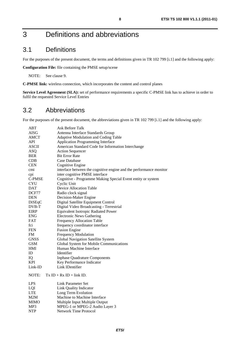# 3 Definitions and abbreviations

### 3.1 Definitions

For the purposes of the present document, the terms and definitions given in TR 102 799 [i.1] and the following apply:

**Configuration File:** file containing the PMSE setup/scene

NOTE: See clause 9.

**C-PMSE link:** wireless connection, which incorporates the content and control planes

**Service Level Agreement (SLA):** set of performance requirements a specific C-PMSE link has to achieve in order to fulfil the requested Service Level Entries

### 3.2 Abbreviations

For the purposes of the present document, the abbreviations given in TR 102 799 [i.1] and the following apply:

| ABT          | <b>Ask Before Talk</b>                                             |
|--------------|--------------------------------------------------------------------|
| AISG         | Antenna Interface Standards Group                                  |
| AMCT         | Adaptive Modulation and Coding Table                               |
| API          | <b>Application Programming Interface</b>                           |
| <b>ASCII</b> | American Standard Code for Information Interchange                 |
| <b>ASQ</b>   | <b>Action Sequencer</b>                                            |
| <b>BER</b>   | <b>Bit Error Rate</b>                                              |
| CDB          | Case Database                                                      |
| <b>CEN</b>   | Cognitive Engine                                                   |
| cmi          | interface between the cognitive engine and the performance monitor |
| cpi          | inter cognitive PMSE interface                                     |
| C-PMSE       | Cognitive - Programme Making Special Event entity or system        |
| <b>CYU</b>   | Cyclic Unit                                                        |
| <b>DAT</b>   | Device Allocation Table                                            |
| DCF77        | Radio clock signal                                                 |
| <b>DEN</b>   | Decision-Maker Engine                                              |
| DiSEqC       | Digital Satellite Equipment Control                                |
| DVB-T        | Digital Video Broadcasting - Terrestrial                           |
| EIRP         | Equivalent Isotropic Radiated Power                                |
| <b>ENG</b>   | <b>Electronic News Gathering</b>                                   |
| FAT          | <b>Frequency Allocation Table</b>                                  |
| fci          | frequency coordinator interface                                    |
| <b>FEN</b>   | <b>Fusion Engine</b>                                               |
| FM           | <b>Frequency Modulation</b>                                        |
| <b>GNSS</b>  | Global Navigation Satellite System                                 |
| <b>GSM</b>   | Global System for Mobile Communications                            |
| HMI          | Human Machine Interface                                            |
| ID           | Identifier                                                         |
| IQ           | <b>Inphase Quadrature Components</b>                               |
| <b>KPI</b>   | Key Performance Indicator                                          |
| Link-ID      | Link IDentifier                                                    |
| NOTE:        | $Tx ID + Rx ID = link ID.$                                         |
| <b>LPS</b>   | <b>Link Parameter Set</b>                                          |
| LQI          | Link Quality Indicator                                             |
| <b>LTE</b>   | Long Term Evolution                                                |
| M2M          | Machine to Machine Interface                                       |
| <b>MIMO</b>  | Multiple Input Multiple Output                                     |
| MP3          | MPEG-1 or MPEG-2 Audio Layer 3                                     |
| <b>NTP</b>   | <b>Network Time Protocol</b>                                       |
|              |                                                                    |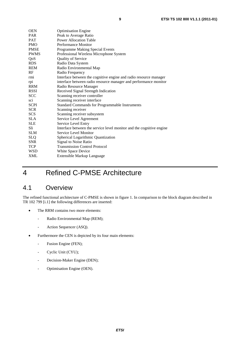| <b>OEN</b>  | <b>Optimisation Engine</b>                                           |
|-------------|----------------------------------------------------------------------|
| <b>PAR</b>  | Peak to Average Ratio                                                |
| <b>PAT</b>  | <b>Power Allocation Table</b>                                        |
| <b>PMO</b>  | Performance Monitor                                                  |
| <b>PMSE</b> | <b>Programme Making Special Events</b>                               |
| <b>PWMS</b> | Professional Wireless Microphone System                              |
| QoS         | <b>Quality of Service</b>                                            |
| <b>RDS</b>  | Radio Data System                                                    |
| <b>REM</b>  | Radio Environmental Map                                              |
| RF          | Radio Frequency                                                      |
| rmi         | Interface between the cognitive engine and radio resource manager    |
| rpi         | interface between radio resource manager and performance monitor     |
| <b>RRM</b>  | Radio Resource Manager                                               |
| <b>RSSI</b> | Received Signal Strength Indication                                  |
| <b>SCC</b>  | Scanning receiver controller                                         |
| sci         | Scanning receiver interface                                          |
| <b>SCPI</b> | <b>Standard Commands for Programmable Instruments</b>                |
| <b>SCR</b>  | Scanning receiver                                                    |
| <b>SCS</b>  | Scanning receiver subsystem                                          |
| SLA.        | Service Level Agreement                                              |
| <b>SLE</b>  | Service Level Entry                                                  |
| Sli         | Interface between the service level monitor and the cognitive engine |
| <b>SLM</b>  | Service Level Monitor                                                |
| <b>SLQ</b>  | Spherical Logarithmic Quantization                                   |
| <b>SNR</b>  | Signal to Noise Ratio                                                |
| <b>TCP</b>  | <b>Transmission Control Protocol</b>                                 |
| <b>WSD</b>  | White Space Device                                                   |
| <b>XML</b>  | Extensible Markup Language                                           |
|             |                                                                      |

# 4 Refined C-PMSE Architecture

# 4.1 Overview

The refined functional architecture of C-PMSE is shown in figure 1. In comparison to the block diagram described in TR 102 799 [i.1] the following differences are inserted:

- The RRM contains two more elements:
	- Radio Environmental Map (REM);
	- Action Sequencer (ASQ).
- Furthermore the CEN is depicted by its four main elements:
	- Fusion Engine (FEN);
	- Cyclic Unit (CYU);
	- Decision-Maker Engine (DEN);
	- Optimisation Engine (OEN).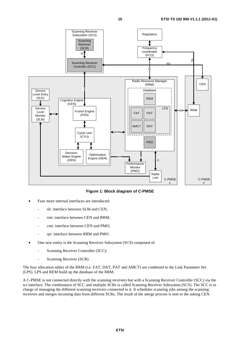

**Figure 1: Block diagram of C-PMSE** 

- Four more internal interfaces are introduced:
	- sli: interface between SLM and CEN;
	- rmi: interface between CEN and RRM;
	- cmi: interface between CEN and PMO;
	- rpi: interface between RRM and PMO.
- One new entity is the Scanning Receiver Subsystem (SCS) composed of:
	- Scanning Receiver Controller (SCC);
	- Scanning Receiver (SCR).

The four allocation tables of the RRM (i.e. FAT, DAT, PAT and AMCT) are combined to the Link Parameter Set (LPS). LPS and REM build up the database of the RRM.

A C-PMSE is not connected directly with the scanning receivers but with a Scanning Receiver Controller (SCC) via the sci interface. The combination of SCC and multiple SCRs is called Scanning Receiver Subsystem (SCS). The SCC is in charge of managing the different scanning receivers connected to it. It schedules scanning jobs among the scanning receivers and merges incoming data from different SCRs. The result of the merge process is sent to the asking CEN.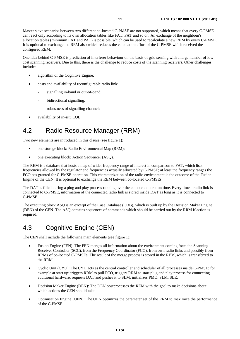Master slave scenarios between two different co-located C-PMSE are not supported, which means that every C-PMSE can react only according to its own allocation tables like FAT, PAT and so on. An exchange of the neighbour's allocation tables (minimum FAT and PAT) is possible, which can be used to recalculate a new REM by every C-PMSE. It is optional to exchange the REM also which reduces the calculation effort of the C-PMSE which received the configured REM.

One idea behind C-PMSE is prediction of interferer behaviour on the basis of grid sensing with a large number of low cost scanning receivers. Due to this, there is the challenge to reduce costs of the scanning receivers. Other challenges include:

- algorithm of the Cognitive Engine;
- costs and availability of reconfigurable radio link:
	- signalling in-band or out-of-band;
	- bidirectional signalling;
	- robustness of signalling channel;
- availability of in-situ LQI.

# 4.2 Radio Resource Manager (RRM)

Two new elements are introduced in this clause (see figure 1):

- one storage block: Radio Environmental Map (REM);
- one executing block: Action Sequencer (ASO).

The REM is a database that hosts a map of wider frequency range of interest in comparison to FAT, which lists frequencies allowed by the regulator and frequencies actually allocated by C-PMSE; at least the frequency ranges the FCO has granted for C-PMSE operation. This characterization of the radio environment is the outcome of the Fusion Engine of the CEN. It is optional to exchange the REM between co-located C-PMSEs.

The DAT is filled during a plug and play process running over the complete operation time. Every time a radio link is connected to C-PMSE, information of the connected radio link is stored inside DAT as long as it is connected to C-PMSE.

The executing block ASQ is an excerpt of the Case Database (CDB), which is built up by the Decision Maker Engine (DEN) of the CEN. The ASQ contains sequences of commands which should be carried out by the RRM if action is required.

# 4.3 Cognitive Engine (CEN)

The CEN shall include the following main elements (see figure 1):

- Fusion Engine (FEN): The FEN merges all information about the environment coming from the Scanning Receiver Controller (SCC), from the Frequency Coordinator (FCO), from own radio links and possibly from RRMs of co-located C-PMSEs. The result of the merge process is stored in the REM, which is transferred to the RRM.
- Cyclic Unit (CYU): The CYU acts as the central controller and scheduler of all processes inside C-PMSE: for example at start up: triggers RRM to pull FCO, triggers RRM to start plug and play process for connecting additional hardware, requests DAT and pushes it to SLM, initializes PMO, SLM, SLE.
- Decision Maker Engine (DEN): The DEN postprocesses the REM with the goal to make decisions about which actions the CEN should take.
- Optimisation Engine (OEN): The OEN optimizes the parameter set of the RRM to maximize the performance of the C-PMSE.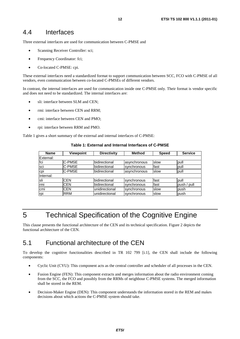### 4.4 Interfaces

Three external interfaces are used for communication between C-PMSE and

- Scanning Receiver Controller: sci;
- Frequency Coordinator: fci;
- Co-located C-PMSE: cpi.

These external interfaces need a standardized format to support communication between SCC, FCO with C-PMSE of all vendors, even communication between co-located C-PMSEs of different vendors.

In contrast, the internal interfaces are used for communication inside one C-PMSE only. Their format is vendor specific and does not need to be standardized. The internal interfaces are:

- sli: interface between SLM and CEN;
- rmi: interface between CEN and RRM;
- cmi: interface between CEN and PMO;
- rpi: interface between RRM and PMO.

Table 1 gives a short summary of the external and internal interfaces of C-PMSE:

| Name      | <b>Viewpoint</b> | <b>Directivity</b>    | <b>Method</b> | <b>Speed</b> | <b>Service</b> |
|-----------|------------------|-----------------------|---------------|--------------|----------------|
| External: |                  |                       |               |              |                |
| fci       | C-PMSE           | bidirectional         | asynchronous  | slow         | pull           |
| sci       | C-PMSE           | bidirectional         | synchronous   | fast         | pull           |
| cpi       | <b>C-PMSE</b>    | bidirectional         | asynchronous  | slow         | pull           |
| Internal: |                  |                       |               |              |                |
| sli       | <b>CEN</b>       | <b>Ibidirectional</b> | synchronous   | fast         | pull           |
| rmi       | <b>CEN</b>       | bidirectional         | synchronous   | fast         | push / pull    |
| cmi       | <b>CEN</b>       | unidirectional        | synchronous   | slow         | push           |
| rpi       | <b>RRM</b>       | unidirectional        | synchronous   | <b>slow</b>  | push           |

**Table 1: External and Internal Interfaces of C-PMSE**

# 5 Technical Specification of the Cognitive Engine

This clause presents the functional architecture of the CEN and its technical specification. Figure 2 depicts the functional architecture of the CEN.

# 5.1 Functional architecture of the CEN

To develop the cognitive functionalities described in TR 102 799 [i.1], the CEN shall include the following components:

- Cyclic Unit (CYU): This component acts as the central controller and scheduler of all processes in the CEN.
- Fusion Engine (FEN): This component extracts and merges information about the radio environment coming from the SCC, the FCO and possibly from the RRMs of neighbour C-PMSE systems. The merged information shall be stored in the REM.
- Decision-Maker Engine (DEN): This component understands the information stored in the REM and makes decisions about which actions the C-PMSE system should take.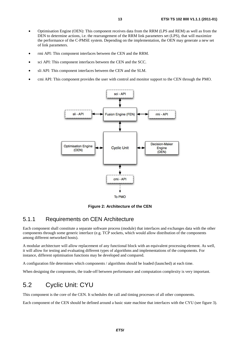- Optimisation Engine (OEN): This component receives data from the RRM (LPS and REM) as well as from the DEN to determine actions, i.e. the rearrangement of the RRM link parameters set (LPS), that will maximize the performance of the C-PMSE system. Depending on the implementation, the OEN may generate a new set of link parameters.
- rmi API: This component interfaces between the CEN and the RRM.
- sci API: This component interfaces between the CEN and the SCC.
- sli API: This component interfaces between the CEN and the SLM.
- cmi API: This component provides the user with control and monitor support to the CEN through the PMO.



**Figure 2: Architecture of the CEN** 

### 5.1.1 Requirements on CEN Architecture

Each component shall constitute a separate software process (module) that interfaces and exchanges data with the other components through some generic interface (e.g. TCP sockets, which would allow distribution of the components among different networked hosts).

A modular architecture will allow replacement of any functional block with an equivalent processing element. As well, it will allow for testing and evaluating different types of algorithms and implementations of the components. For instance, different optimisation functions may be developed and compared.

A configuration file determines which components / algorithms should be loaded (launched) at each time.

When designing the components, the trade-off between performance and computation complexity is very important.

### 5.2 Cyclic Unit: CYU

This component is the core of the CEN. It schedules the call and timing processes of all other components.

Each component of the CEN should be defined around a basic state machine that interfaces with the CYU (see figure 3).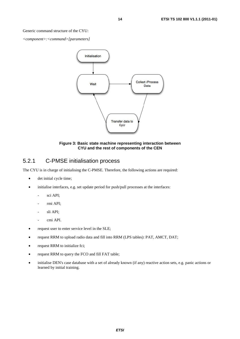Generic command structure of the CYU:

*<component>:<command>[parameters]* 



#### **Figure 3: Basic state machine representing interaction between CYU and the rest of components of the CEN**

### 5.2.1 C-PMSE initialisation process

The CYU is in charge of initialising the C-PMSE. Therefore, the following actions are required:

- det initial cycle time;
- initialise interfaces, e.g. set update period for push/pull processes at the interfaces:
	- sci API;
	- rmi API;
	- sli API;
	- cmi API.
- request user to enter service level in the SLE;
- request RRM to upload radio data and fill into RRM (LPS tables): PAT, AMCT, DAT;
- request RRM to initialize fci;
- request RRM to query the FCO and fill FAT table;
- initialise DEN's case database with a set of already known (if any) reactive action sets, e.g. panic actions or learned by initial training.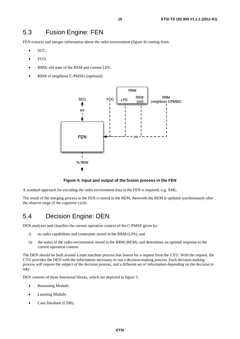# 5.3 Fusion Engine: FEN

FEN extracts and merges information about the radio environment (figure 4) coming from:

- SCC;
- FCO:
- RRM: old state of the REM and current LPS;
- RRM of neighbour C-PMSEs (optional).



#### **Figure 4: Input and output of the fusion process in the FEN**

A standard approach for encoding the radio environment data in the FEN is required, e.g. XML.

The result of the merging process in the FEN is stored in the REM, therewith the REM is updated synchronously after the observe stage of the cognitive cycle.

# 5.4 Decision Engine: DEN

DEN analyzes and classifies the current operation context of the C-PMSE given by:

- i) its radio capabilities and constraints stored in the RRM (LPS); and
- ii) the status of the radio environment stored in the RRM (REM), and determines an optimal response to the current operation context.

The DEN should be built around a state machine process that listens for a request from the CYU. With the request, the CYU provides the DEN with the information necessary to run a decision-making process. Each decision-making process will require the subject of the decision process, and a different set of information depending on the decision to take.

DEN consists of three functional blocks, which are depicted in figure 5:

- Reasoning Module;
- Learning Module;
- Case Database (CDB).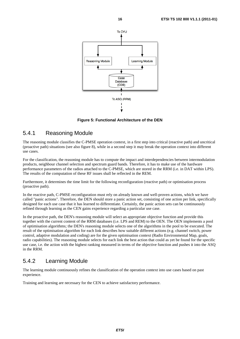

**Figure 5: Functional Architecture of the DEN** 

To ASQ (RRM)

### 5.4.1 Reasoning Module

The reasoning module classifies the C-PMSE operation context, in a first step into critical (reactive path) and uncritical (proactive path) situations (see also figure 8), while in a second step it may break the operation context into different use cases.

For the classification, the reasoning module has to compute the impact and interdependencies between intermodulation products, neighbour channel selection and spectrum guard bands. Therefore, it has to make use of the hardware performance parameters of the radios attached to the C-PMSE, which are stored in the RRM (i.e. in DAT within LPS). The results of the computation of these RF issues shall be reflected in the REM.

Furthermore, it determines the time limit for the following reconfiguration (reactive path) or optimisation process (proactive path).

In the reactive path, C-PMSE reconfiguration must rely on already known and well-proven actions, which we have called "panic actions". Therefore, the DEN should store a panic action set, consisting of one action per link, specifically designed for each use case that it has learned to differentiate. Certainly, the panic action sets can be continuously refined through learning as the CEN gains experience regarding a particular use case.

In the proactive path, the DEN's reasoning module will select an appropriate objective function and provide this together with the current content of the RRM databases (i.e. LPS and REM) to the OEN. The OEN implements a pool of optimisation algorithms; the DEN's reasoning module selects one of the algorithms in the pool to be executed. The result of the optimisation algorithm for each link describes how suitable different actions (e.g. channel switch, power control, adaptive modulation and coding) are for the given optimisation context (Radio Environmental Map, goals, radio capabilities). The reasoning module selects for each link the best action that could as yet be found for the specific use case, i.e. the action with the highest ranking measured in terms of the objective function and pushes it into the ASQ in the RRM.

### 5.4.2 Learning Module

The learning module continuously refines the classification of the operation context into use cases based on past experience.

Training and learning are necessary for the CEN to achieve satisfactory performance.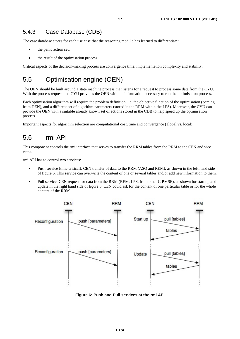The case database stores for each use case that the reasoning module has learned to differentiate:

- the panic action set;
- the result of the optimisation process.

Critical aspects of the decision-making process are convergence time, implementation complexity and stability.

# 5.5 Optimisation engine (OEN)

The OEN should be built around a state machine process that listens for a request to process some data from the CYU. With the process request, the CYU provides the OEN with the information necessary to run the optimisation process.

Each optimisation algorithm will require the problem definition, i.e. the objective function of the optimisation (coming from DEN), and a different set of algorithm parameters (stored in the RRM within the LPS). Moreover, the CYU can provide the OEN with a suitable already known set of actions stored in the CDB to help speed up the optimisation process.

Important aspects for algorithm selection are computational cost, time and convergence (global vs. local).

# 5.6 rmi API

This component controls the rmi interface that serves to transfer the RRM tables from the RRM to the CEN and vice versa.

rmi API has to control two services:

- Push service (time critical): CEN transfer of data to the RRM (ASQ and REM), as shown in the left hand side of figure 6. This service can overwrite the content of one or several tables and/or add new information to them.
- Pull service: CEN request for data from the RRM (REM, LPS, from other C-PMSE), as shown for start up and update in the right hand side of figure 6. CEN could ask for the content of one particular table or for the whole content of the RRM.



**Figure 6: Push and Pull services at the rmi API**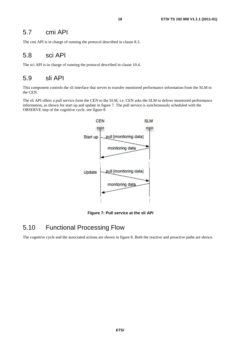### 5.7 cmi API

The cmi API is in charge of running the protocol described in clause 8.3.

### 5.8 sci API

The sci API is in charge of running the protocol described in clause 10.4.

### 5.9 sli API

This component controls the sli interface that serves to transfer monitored performance information from the SLM to the CEN.

The sli API offers a pull service from the CEN to the SLM, i.e. CEN asks the SLM to deliver monitored performance information, as shown for start up and update in figure 7. The pull service is synchronously scheduled with the OBSERVE step of the cognitive cycle, see figure 8.



 **Figure 7: Pull service at the sli API** 

### 5.10 Functional Processing Flow

The cognitive cycle and the associated actions are shown in figure 8. Both the reactive and proactive paths are shown.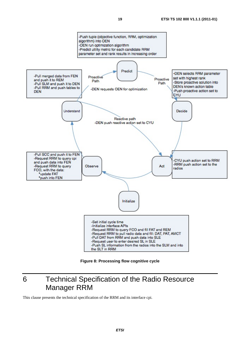

**Figure 8: Processing flow cognitive cycle** 

# 6 Technical Specification of the Radio Resource Manager RRM

This clause presents the technical specification of the RRM and its interface cpi.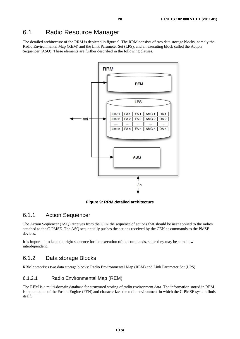### 6.1 Radio Resource Manager

The detailed architecture of the RRM is depicted in figure 9. The RRM consists of two data storage blocks, namely the Radio Environmental Map (REM) and the Link Parameter Set (LPS), and an executing block called the Action Sequencer (ASQ). These elements are further described in the following clauses.



**Figure 9: RRM detailed architecture** 

#### 6.1.1 Action Sequencer

The Action Sequencer (ASQ) receives from the CEN the sequence of actions that should be next applied to the radios attached to the C-PMSE. The ASQ sequentially pushes the actions received by the CEN as commands to the PMSE devices.

It is important to keep the right sequence for the execution of the commands, since they may be somehow interdependent.

### 6.1.2 Data storage Blocks

RRM comprises two data storage blocks: Radio Environmental Map (REM) and Link Parameter Set (LPS).

#### 6.1.2.1 Radio Environmental Map (REM)

The REM is a multi-domain database for structured storing of radio environment data. The information stored in REM is the outcome of the Fusion Engine (FEN) and characterizes the radio environment in which the C-PMSE system finds itself.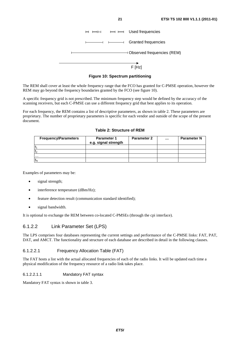|  | $H \ H$ $H \ H$ $H$ $H$ Used frequencies |
|--|------------------------------------------|
|  | ← → ← Granted frequencies                |
|  |                                          |
|  |                                          |

**Figure 10: Spectrum partitioning** 

The REM shall cover at least the whole frequency range that the FCO has granted for C-PMSE operation, however the REM may go beyond the frequency boundaries granted by the FCO (see figure 10).

A specific frequency grid is not prescribed. The minimum frequency step would be defined by the accuracy of the scanning receivers, but each C-PMSE can use a different frequency grid that best applies to its operation.

For each frequency, the REM contains a list of descriptive parameters, as shown in table 2. These parameters are proprietary. The number of proprietary parameters is specific for each vendor and outside of the scope of the present document.

**Table 2: Structure of REM** 

| <b>Frequency\Parameters</b> | <b>Parameter 1</b><br>e.g. signal strength | <b>Parameter 2</b> | <br><b>Parameter N</b> |
|-----------------------------|--------------------------------------------|--------------------|------------------------|
|                             |                                            |                    |                        |
|                             |                                            |                    |                        |
| .                           |                                            |                    |                        |
| $\mathsf{H}_{\mathsf{N}}$   |                                            |                    |                        |

Examples of parameters may be:

- signal strength;
- interference temperature (dBm/Hz);
- feature detection result (communication standard identified);
- signal bandwidth.

It is optional to exchange the REM between co-located C-PMSEs (through the cpi interface).

#### 6.1.2.2 Link Parameter Set (LPS)

The LPS comprises four databases representing the current settings and performance of the C-PMSE links: FAT, PAT, DAT, and AMCT. The functionality and structure of each database are described in detail in the following clauses.

#### 6.1.2.2.1 Frequency Allocation Table (FAT)

The FAT hosts a list with the actual allocated frequencies of each of the radio links. It will be updated each time a physical modification of the frequency resource of a radio link takes place.

#### 6.1.2.2.1.1 Mandatory FAT syntax

Mandatory FAT syntax is shown in table 3.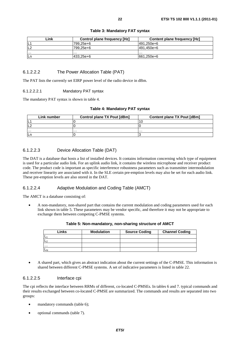| Link           | Control plane frequency [Hz] | Content plane frequency [Hz] |
|----------------|------------------------------|------------------------------|
| ١Ľ             | 799.25e+6                    | 491.250e+6                   |
| L <sub>2</sub> | 799.25e+6                    | 491.450e+6                   |
| $\cdots$       | .                            | .                            |
| Ln             | 433,25e+6                    | 661,250e+6                   |

#### **Table 3: Mandatory FAT syntax**

#### 6.1.2.2.2 The Power Allocation Table (PAT)

The PAT lists the currently set EIRP power level of the radio device in dBm.

#### 6.1.2.2.2.1 Mandatory PAT syntax

The mandatory PAT syntax is shown in table 4.

#### **Table 4: Mandatory PAT syntax**

| Link number | <b>Control plane TX Pout [dBm]</b> | Content plane TX Pout [dBm] |
|-------------|------------------------------------|-----------------------------|
| IL          |                                    |                             |
| IL2         |                                    |                             |
| .           | .                                  | .                           |
| lLr         |                                    |                             |

#### 6.1.2.2.3 Device Allocation Table (DAT)

The DAT is a database that hosts a list of installed devices. It contains information concerning which type of equipment is used for a particular audio link. For an uplink audio link, it contains the wireless microphone and receiver product code. The product code is important as specific interference robustness parameters such as transmitter intermodulation and receiver linearity are associated with it. In the SLE certain pre-emption levels may also be set for each audio link. These pre-emption levels are also stored in the DAT.

#### 6.1.2.2.4 Adaptive Modulation and Coding Table (AMCT)

The AMCT is a database consisting of:

• A non-mandatory, non-shared part that contains the current modulation and coding parameters used for each link shown in table 5. These parameters may be vendor specific, and therefore it may not be appropriate to exchange them between competing C-PMSE systems.

| Links | <b>Modulation</b> | <b>Source Coding</b> | <b>Channel Coding</b> |
|-------|-------------------|----------------------|-----------------------|
| L1    |                   |                      |                       |
| L2    |                   |                      |                       |
| .     |                   |                      |                       |
| Lм    |                   |                      |                       |

#### **Table 5: Non-mandatory, non-sharing structure of AMCT**

• A shared part, which gives an abstract indication about the current settings of the C-PMSE. This information is shared between different C-PMSE systems. A set of indicative parameters is listed in table 22.

#### 6.1.2.2.5 Interface cpi

The cpi reflects the interface between RRMs of different, co-located C-PMSEs. In tables 6 and 7. typical commands and their results exchanged between co-located C-PMSE are summarized. The commands and results are separated into two groups:

- mandatory commands (table 6);
- optional commands (table 7).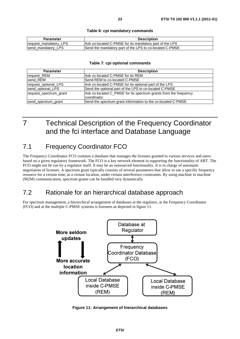#### **Table 6: cpi mandatory commands**

| Parameter             | <b>Description</b>                                      |
|-----------------------|---------------------------------------------------------|
| request_mandatory_LPS | Ask co-located C-PMSE for its mandatory part of the LPS |
| send mandatory LPS    | Send the mandatory part of the LPS to co-located C-PMSE |

#### **Table 7: cpi optional commands**

| <b>Parameter</b>       | <b>Description</b>                                                               |
|------------------------|----------------------------------------------------------------------------------|
| request REM            | lAsk co-located C-PMSE for its REM                                               |
| send REM               | Send REM to co-located C-PMSE                                                    |
| request_optional_LPS   | Ask co-located C-PMSE for its optional part of the LPS                           |
| send optional LPS      | Send the optional part of the LPS to co-located C-PMSE                           |
| request_spectrum_grant | Ask co-located C_PMSE for its spectrum grants from the frequency<br>coordinator. |
| send_spectrum_grant    | Send the spectrum grant information to the co-located C-PMSE                     |

# 7 Technical Description of the Frequency Coordinator and the fci interface and Database Language

# 7.1 Frequency Coordinator FCO

The Frequency Coordinator FCO contains a database that manages the licenses granted to various services and users based on a given regulatory framework. The FCO is a key network element in supporting the functionality of ABT. The FCO might not be run by a regulator itself. It may be an outsourced functionality. It is in charge of automatic negotiation of licenses. A spectrum grant typically consists of several parameters that allow to use a specific frequency resource for a certain time, at a certain location, under certain interference constraints. By using machine to machine (M2M) communication, spectrum grants can be handled very dynamically.

# 7.2 Rationale for an hierarchical database approach

For spectrum management, a hierarchical arrangement of databases at the regulator, at the Frequency Coordinator (FCO) and at the multiple C-PMSE systems is foreseen as depicted in figure 11.



**Figure 11: Arrangement of hierarchical databases**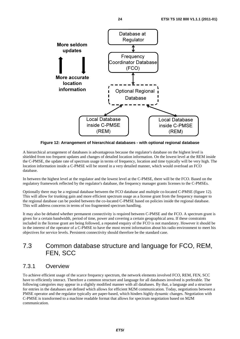

**Figure 12: Arrangement of hierarchical databases - with optional regional database** 

A hierarchical arrangement of databases is advantageous because the regulator's database on the highest level is shielded from too frequent updates and changes of detailed location information. On the lowest level at the REM inside the C-PMSE, the update rate of spectrum usage in terms of frequency, location and time typically will be very high. The location information inside a C-PMSE will be stored in a very detailed manner, which would overload an FCO database.

In between the highest level at the regulator and the lowest level at the C-PMSE, there will be the FCO. Based on the regulatory framework reflected by the regulator's database, the frequency manager grants licenses to the C-PMSEs.

Optionally there may be a regional database between the FCO database and multiple co-located C-PMSE (figure 12). This will allow for trunking gain and more efficient spectrum usage as a license grant from the frequency manager to the regional database can be pooled between the co-located C-PMSE based on policies inside the regional database. This will address concerns in terms of too fragmented spectrum handling.

It may also be debated whether permanent connectivity is required between C-PMSE and the FCO. A spectrum grant is given for a certain bandwidth, period of time, power and covering a certain geographical area. If these constraints included in the license grant are being followed, a repeated enquiry of the FCO is not mandatory. However it should be in the interest of the operator of a C-PMSE to have the most recent information about his radio environment to meet his objectives for service levels. Persistent connectivity should therefore be the standard case.

# 7.3 Common database structure and language for FCO, REM, FEN, SCC

### 7.3.1 Overview

To achieve efficient usage of the scarce frequency spectrum, the network elements involved FCO, REM, FEN, SCC have to efficiently interact. Therefore a common structure and language for all databases involved is preferable. The following categories may appear in a slightly modified manner with all databases. By that, a language and a structure for entries in the databases are defined which allows for efficient M2M communication. Today, negotiations between a PMSE operator and the regulator typically are paper-based, which hinders highly dynamic changes. Negotiation with C-PMSE is transformed to a machine readable format that allows for spectrum negotiation based on M2M communication.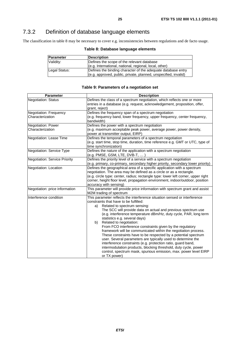# 7.3.2 Definition of database language elements

The classification in table 8 may be necessary to cover e.g. inconsistencies between regulations and de facto usage.

| Parameter     | <b>Description</b>                                              |
|---------------|-----------------------------------------------------------------|
| Validity:     | Defines the scope of the relevant database                      |
|               | (e.g. International, national, regional, local, other)          |
| Legal Status: | Defines the binding character of the adequate database entry    |
|               | (e.g. approved, public, private, planned, unspecified, invalid) |

#### **Table 8: Database language elements**

#### **Table 9: Parameters of a negotiation set**

| <b>Parameter</b>                           | <b>Description</b>                                                                                                                                                                                                                                                                                                                                                                                                                                                                                                                                                                                                                                                                                                                                                                                                                                        |  |
|--------------------------------------------|-----------------------------------------------------------------------------------------------------------------------------------------------------------------------------------------------------------------------------------------------------------------------------------------------------------------------------------------------------------------------------------------------------------------------------------------------------------------------------------------------------------------------------------------------------------------------------------------------------------------------------------------------------------------------------------------------------------------------------------------------------------------------------------------------------------------------------------------------------------|--|
| <b>Negotiation: Status</b>                 | Defines the class of a spectrum negotiation, which reflects one or more<br>entries in a database (e.g. request, acknowledgement, proposition, offer,<br>grant, reject)                                                                                                                                                                                                                                                                                                                                                                                                                                                                                                                                                                                                                                                                                    |  |
| Negotiation: Frequency<br>Characterization | Defines the frequency span of a spectrum negotiation<br>(e.g. frequency band, lower frequency, upper frequency, center frequency,<br>bandwidth)                                                                                                                                                                                                                                                                                                                                                                                                                                                                                                                                                                                                                                                                                                           |  |
| Negotiation: Power<br>Characterization     | Defines the power with a spectrum negotiation<br>(e.g. maximum acceptable peak power, average power, power density,<br>power at transmitter output, EIRP)                                                                                                                                                                                                                                                                                                                                                                                                                                                                                                                                                                                                                                                                                                 |  |
| Negotiation: Lease Time                    | Defines the temporal parameters of a spectrum negotiation<br>(e.g. start time, stop time, duration, time reference e.g. GMT or UTC, type of<br>time synchronization)                                                                                                                                                                                                                                                                                                                                                                                                                                                                                                                                                                                                                                                                                      |  |
| Negotiation: Service Type                  | Defines the nature of the application with a spectrum negotiation<br>(e.g. PMSE, GSM, LTE, DVB-T,  )                                                                                                                                                                                                                                                                                                                                                                                                                                                                                                                                                                                                                                                                                                                                                      |  |
| <b>Negotiation: Service Priority</b>       | Defines the priority level of a service with a spectrum negotiation<br>(e.g. primary, co-primary, secondary higher priority, secondary lower priority)                                                                                                                                                                                                                                                                                                                                                                                                                                                                                                                                                                                                                                                                                                    |  |
| Negotiation: Location                      | Defines the geographical area of a specific application with a spectrum<br>negotiation. The area may be defined as a circle or as a rectangle.<br>(e.g. circle type: center, radius; rectangle type: lower left corner, upper right<br>corner, height floor level, propagation environment, indoor/outdoor, position<br>accuracy with sensing)                                                                                                                                                                                                                                                                                                                                                                                                                                                                                                            |  |
| Negotiation: price information             | This parameter will provide price information with spectrum grant and assist<br>M2M trading of spectrum                                                                                                                                                                                                                                                                                                                                                                                                                                                                                                                                                                                                                                                                                                                                                   |  |
| Interference condition                     | This parameter reflects the interference situation sensed or interference<br>constraints that have to be fulfilled:<br>Related to spectrum sensing:<br>a)<br>The SCC will provide data on actual and previous spectrum use<br>(e.g. interference temperature dBm/Hz, duty cycle, PAR, long term<br>statistics e.g. several days)<br>Related to negotiation:<br>b)<br>From FCO interference constraints given by the regulatory<br>framework will be communicated within the negotiation process.<br>These constraints have to be respected by a potential spectrum<br>user. Several parameters are typically used to determine the<br>interference constraints (e.g. protection ratio, guard band,<br>intermodulation products, blocking threshold, duty cycle, power<br>control, spectrum mask, spurious emission, max. power level EIRP<br>or TX power) |  |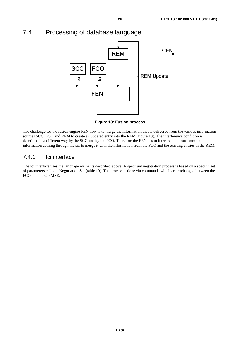### 7.4 Processing of database language



**Figure 13: Fusion process** 

The challenge for the fusion engine FEN now is to merge the information that is delivered from the various information sources SCC, FCO and REM to create an updated entry into the REM (figure 13). The interference condition is described in a different way by the SCC and by the FCO. Therefore the FEN has to interpret and transform the information coming through the sci to merge it with the information from the FCO and the existing entries in the REM.

### 7.4.1 fci interface

The fci interface uses the language elements described above. A spectrum negotiation process is based on a specific set of parameters called a Negotiation Set (table 10). The process is done via commands which are exchanged between the FCO and the C-PMSE.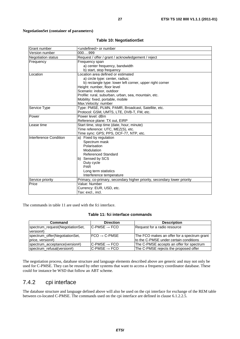#### **NegotiationSet (container of parameters)**

#### **Table 10: NegotiationSet**

| Grant number              | <undefined> or number</undefined>                                        |  |
|---------------------------|--------------------------------------------------------------------------|--|
| Version number            | 000999                                                                   |  |
| <b>Negotiation status</b> | Request / offer / grant / acknowledgement / reject                       |  |
| Frequency                 | Frequency span                                                           |  |
|                           | a) center frequency, bandwidth                                           |  |
|                           | b) start, stop frequency                                                 |  |
| Location                  | Location area defined or estimated                                       |  |
|                           | a) circle type: center, radius;                                          |  |
|                           | b) rectangle type: lower left corner, upper right corner                 |  |
|                           | Height: number, floor level                                              |  |
|                           | Scenario: indoor, outdoor                                                |  |
|                           | Profile: rural, suburban, urban, sea, mountain, etc.                     |  |
|                           | Mobility: fixed, portable, mobile                                        |  |
|                           | Max. Velocity: number                                                    |  |
| <b>Service Type</b>       | Type: PMSE, PLMN, PAMR, Broadcast, Satellite, etc.                       |  |
|                           | Protocol: GSM, UMTS, LTE, DVB-T, FM, etc.                                |  |
| Power                     | Power level: dBm                                                         |  |
|                           | Reference plane: TX out, EIRP                                            |  |
| Lease time                | Start time, stop time (date, hour, minute)                               |  |
|                           | Time reference: UTC, MEZ(S), etc.                                        |  |
|                           | Time sync: GPS; PPS, DCF-77, NTP, etc.                                   |  |
| Interference Condition    | a) Fixed by regulation                                                   |  |
|                           | Spectrum mask                                                            |  |
|                           | Polarisation                                                             |  |
|                           | Modulation                                                               |  |
|                           | <b>Referenced Standard</b>                                               |  |
|                           | b) Sensed by SCS                                                         |  |
|                           | Duty cycle                                                               |  |
|                           | <b>PAR</b>                                                               |  |
|                           | Long term statistics                                                     |  |
|                           | Interference temperature                                                 |  |
| Service priority          | Primary, co-primary, secondary higher priority, secondary lower priority |  |
| Price                     | Value: Number                                                            |  |
|                           | Currency: EUR, USD, etc.                                                 |  |
|                           | Tax: excl., incl.                                                        |  |

The commands in table 11 are used with the fci interface.

**Table 11: fci interface commands**

| Command                                            | <b>Direction</b>             | <b>Description</b>                                                                    |
|----------------------------------------------------|------------------------------|---------------------------------------------------------------------------------------|
| spectrum_request(NegotiationSet,<br>version#)      | $IC-PMSE \rightarrow FCO$    | Request for a radio resource                                                          |
| spectrum_offer(NegotiationSet,<br>price, version#) | $FCO \rightarrow C-PMSE$     | The FCO makes an offer for a spectrum grant<br>to the C-PMSE under certain conditions |
| spectrum_acceptance(version#)                      | $IC$ -PMSE $\rightarrow$ FCO | The C-PMSE accepts an offer for spectrum                                              |
| spectrum refusal(version#)                         | $IC$ -PMSE $\rightarrow$ FCO | The C-PMSE rejects the proposed offer                                                 |
|                                                    |                              |                                                                                       |

The negotiation process, database structure and language elements described above are generic and may not only be used for C-PMSE. They can be reused by other systems that want to access a frequency coordinator database. These could for instance be WSD that follow an ABT scheme.

### 7.4.2 cpi interface

The database structure and language defined above will also be used on the cpi interface for exchange of the REM table between co-located C-PMSE. The commands used on the cpi interface are defined in clause 6.1.2.2.5.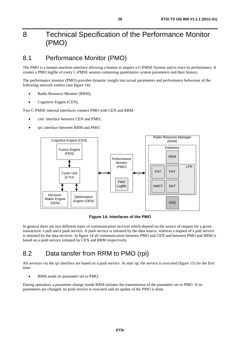# 8 Technical Specification of the Performance Monitor (PMO)

# 8.1 Performance Monitor (PMO)

The PMO is a human-machine-interface allowing a human to inspect a C-PMSE System and to trace its performance. It creates a PMO logfile of every C-PMSE session containing quantitative system parameters and their history.

The performance monitor (PMO) provides dynamic insight into actual parameters and performance behaviour of the following network entities (see figure 14):

- Radio Resource Monitor (RRM);
- Cognitive Engine (CEN).

Two C-PMSE internal interfaces connect PMO with CEN and RRM:

- cmi: interface between CEN and PMO;
- rpi: interface between RRM and PMO.



**Figure 14: Interfaces of the PMO** 

In general there are two different types of communication services which depend on the source of request for a given transaction: a pull and a push service. A push service is initiated by the data source, whereas a request of a pull service is initiated by the data receiver. In figure 14 all communication between PMO and CEN and between PMO and RRM is based on a push service initiated by CEN and RRM respectively.

# 8.2 Data tansfer from RRM to PMO (rpi)

All services via the rpi interface are based on a push service. At start up, the service is executed (figure 15) for the first time:

• RRM sends its parameter set to PMO.

During operation, a parameter change inside RRM initiates the transmission of the parameter set to PMO. If no parameters are changed, no push service is executed and no update of the PMO is done.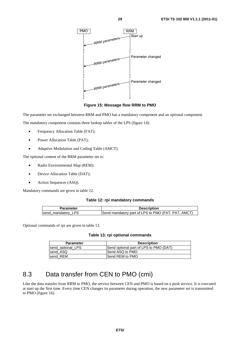

**Figure 15: Message flow RRM to PMO** 

The parameter set exchanged between RRM and PMO has a mandatory component and an optional component.

The mandatory component contains three lookup tables of the LPS (figure 14):

- Frequency Allocation Table (FAT);
- Power Allocation Table (PAT);
- Adaptive Modulation and Coding Table (AMCT).

The optional content of the RRM parameter set is:

- Radio Environmental Map (REM);
- Device Allocation Table (DAT);
- Action Sequencer (ASQ).

Mandatory commands are given in table 12.

#### **Table 12: rpi mandatory commands**

| Parameter          | <b>Description</b>                                 |
|--------------------|----------------------------------------------------|
| send_mandatory_LPS | Send mandatory part of LPS to PMO (FAT, PAT, AMCT) |

Optional commands of rpi are given in table 13.

#### **Table 13: rpi optional commands**

| <b>Parameter</b>  | <b>Description</b>                     |
|-------------------|----------------------------------------|
| send optional LPS | Send optional part of LPS to PMO (DAT) |
| send ASQ          | Send ASQ to PMO                        |
| send REM          | <b>Send REM to PMO</b>                 |

# 8.3 Data transfer from CEN to PMO (cmi)

Like the data transfer from RRM to PMO, the service between CEN and PMO is based on a push service. It is executed at start up the first time. Every time CEN changes its parameter during operation, the new parameter set is transmitted to PMO (figure 16).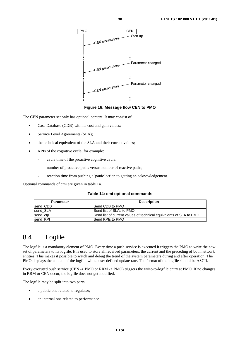

**Figure 16: Message flow CEN to PMO** 

The CEN parameter set only has optional content. It may consist of:

- Case Database (CDB) with its cost and gain values;
- Service Level Agreements (SLA);
- the technical equivalent of the SLA and their current values;
- KPIs of the cognitive cycle, for example:
	- cycle time of the proactive cognitive cycle;
	- number of proactive paths versus number of reactive paths;
	- reaction time from pushing a 'panic' action to getting an acknowledgement.

Optional commands of cmi are given in table 14.

#### **Table 14: cmi optional commands**

| <b>Parameter</b> | <b>Description</b>                                                 |
|------------------|--------------------------------------------------------------------|
| send CDB         | <b>Send CDB to PMO</b>                                             |
| send SLA         | Send list of SLAs to PMO                                           |
| send ctp         | Send list of current values of technical equivalents of SLA to PMO |
| send KPI         | <b>ISend KPIs to PMO</b>                                           |

### 8.4 Logfile

The logfile is a mandatory element of PMO. Every time a push service is executed it triggers the PMO to write the new set of parameters to its logfile. It is used to store all received parameters, the current and the preceding of both network entities. This makes it possible to watch and debug the trend of the system parameters during and after operation. The PMO displays the content of the logfile with a user defined update rate. The format of the logfile should be ASCII.

Every executed push service (CEN -> PMO or RRM -> PMO) triggers the write-to-logfile entry at PMO. If no changes in RRM or CEN occur, the logfile does not get modified.

The logfile may be split into two parts:

- a public one related to regulator;
- an internal one related to performance.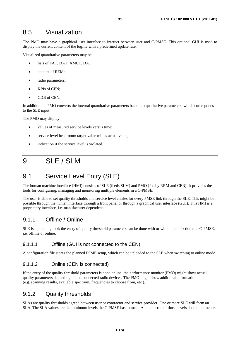### 8.5 Visualization

The PMO may have a graphical user interface to interact between user and C-PMSE. This optional GUI is used to display the current content of the logfile with a predefined update rate.

Visualized quantitative parameters may be:

- lists of FAT, DAT, AMCT, DAT;
- content of REM;
- radio parameters;
- KPIs of CEN;
- CDB of CEN.

In addition the PMO converts the internal quantitative parameters back into qualitative parameters, which corresponds to the SLE input.

The PMO may display:

- values of measured service levels versus time;
- service level headroom: target value minus actual value;
- indication if the service level is violated.

# 9 SLE / SLM

# 9.1 Service Level Entry (SLE)

The human machine interface (HMI) consists of SLE (feeds SLM) and PMO (fed by RRM and CEN). It provides the tools for configuring, managing and monitoring multiple elements in a C-PMSE.

The user is able to set quality thresholds and service level entries for every PMSE link through the SLE. This might be possible through the human interface through a front panel or through a graphical user interface (GUI). This HMI is a proprietary interface, i.e. manufacturer dependent.

### 9.1.1 Offline / Online

SLE is a planning tool; the entry of quality threshold parameters can be done with or without connection to a C-PMSE, i.e. offline or online.

### 9.1.1.1 Offline (GUI is not connected to the CEN)

A configuration file stores the planned PSME setup, which can be uploaded to the SLE when switching to online mode.

### 9.1.1.2 Online (CEN is connected)

If the entry of the quality threshold parameters is done online, the performance monitor (PMO) might show actual quality parameters depending on the connected radio devices. The PMO might show additional information (e.g. scanning results, available spectrum, frequencies to choose from, etc.).

### 9.1.2 Quality thresholds

SLAs are quality thresholds agreed between user or contractor and service provider. One or more SLE will form an SLA. The SLA values are the minimum levels the C-PMSE has to meet. An under-run of those levels should not occur.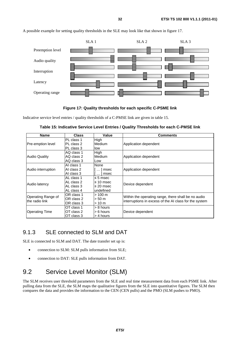A possible example for setting quality thresholds in the SLE may look like that shown in figure 17.



**Figure 17: Quality thresholds for each specific C-PSME link** 

Indicative service level entries / quality thresholds of a C-PMSE link are given in table 15.

| <b>Name</b>              | <b>Class</b> | Value             | <b>Comments</b>                                        |
|--------------------------|--------------|-------------------|--------------------------------------------------------|
|                          | PL class 1   | High              |                                                        |
| <b>Pre-emption level</b> | PL class 2   | Medium            | Application dependent                                  |
|                          | IPL class 3  | low               |                                                        |
|                          | AQ class 1   | High              |                                                        |
| <b>Audio Quality</b>     | AQ class 2   | Medium            | Application dependent                                  |
|                          | AQ class 3   | Low               |                                                        |
| Audio interruption       | AI class 1   | None              |                                                        |
|                          | AI class 2   | $\ldots$ msec     | Application dependent                                  |
|                          | AI class 3   | $\ldots$   msec   |                                                        |
|                          | AL class 1   | $\leq$ 5 msec     |                                                        |
| Audio latency            | AL class 2   | $\leq 10$ msec    |                                                        |
|                          | AL class 3   | $\leq$ 20 msec    | Device dependent                                       |
|                          | AL class 4   | undefined         |                                                        |
| Operating Range of       | OR class 1   | $> 100 \text{ m}$ | Within the operating range, there shall be no audio    |
| the radio link           | OR class 2   | > 50 m            | interruptions in excess of the AI class for the system |
|                          | OR class 3   | >10 m             |                                                        |
| <b>Operating Time</b>    | OT class 1   | $> 8$ hours       |                                                        |
|                          | OT class 2   | $> 6$ hours       | Device dependent                                       |
|                          | OT class 3   | > 4 hours         |                                                        |

**Table 15: Indicative Service Level Entries / Quality Thresholds for each C-PMSE link** 

# 9.1.3 SLE connected to SLM and DAT

SLE is connected to SLM and DAT. The date transfer set up is:

- connection to SLM: SLM pulls information from SLE;
- connection to DAT: SLE pulls information from DAT.

# 9.2 Service Level Monitor (SLM)

The SLM receives user threshold parameters from the SLE and real time measurement data from each PSME link. After pulling data from the SLE, the SLM maps the qualitative figures from the SLE into quantitative figures. The SLM then compares the data and provides the information to the CEN (CEN pulls) and the PMO (SLM pushes to PMO).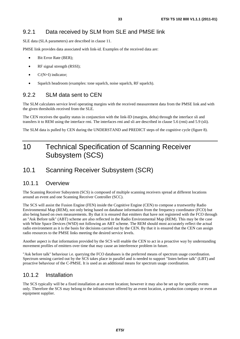SLE data (SLA parameters) are described in clause 11.

PMSE link provides data associated with link-id. Examples of the received data are:

- Bit Error Rate (BER);
- RF signal strength (RSSI);
- $\bullet$  C/(N+I) indicator:
- Squelch headroom (examples: tone squelch, noise squelch, RF squelch).

### 9.2.2 SLM data sent to CEN

The SLM calculates service level operating margins with the received measurement data from the PMSE link and with the given thresholds received from the SLE.

The CEN receives the quality status in conjunction with the link-ID (margins, delta) through the interface sli and transfers it to REM using the interface rmi. The interfaces rmi and sli are described in clause 5.6 (rmi) and 5.9 (sli).

The SLM data is pulled by CEN during the UNDERSTAND and PREDICT steps of the cognitive cycle (figure 8).

# 10 Technical Specification of Scanning Receiver Subsystem (SCS)

# 10.1 Scanning Receiver Subsystem (SCR)

### 10.1.1 Overview

The Scanning Receiver Subsystem (SCS) is composed of multiple scanning receivers spread at different locations around an event and one Scanning Receiver Controller (SCC).

The SCS will assist the Fusion Engine (FEN) inside the Cognitive Engine (CEN) to compose a trustworthy Radio Environmental Map (REM), not only being based on database information from the frequency coordinator (FCO) but also being based on own measurements. By that it is ensured that emitters that have not registered with the FCO through an "Ask Before talk" (ABT) scheme are also reflected in the Radio Environmental Map (REM). This may be the case with White Space Devices (WSD) not following an ABT scheme. The REM should most accurately reflect the actual radio environment as it is the basis for decisions carried out by the CEN. By that it is ensured that the CEN can assign radio resources to the PMSE links meeting the desired service levels.

Another aspect is that information provided by the SCS will enable the CEN to act in a proactive way by understanding movement profiles of emitters over time that may cause an interference problem in future.

"Ask before talk" behaviour i.e. querying the FCO databases is the preferred means of spectrum usage coordination. Spectrum sensing carried out by the SCS takes place in parallel and is needed to support "listen before talk" (LBT) and proactive behaviour of the C-PMSE. It is used as an additional means for spectrum usage coordination.

### 10.1.2 Installation

The SCS typically will be a fixed installation at an event location; however it may also be set up for specific events only. Therefore the SCS may belong to the infrastructure offered by an event location, a production company or even an equipment supplier.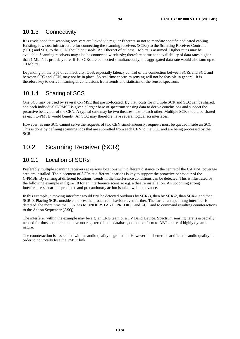### 10.1.3 Connectivity

It is envisioned that scanning receivers are linked via regular Ethernet so not to mandate specific dedicated cabling. Existing, low cost infrastructure for connecting the scanning receivers (SCRs) to the Scanning Receiver Controller (SCC) and SCC to the CEN should be usable. An Ethernet of at least 1 Mbit/s is assumed. Higher rates may be available. Scanning receivers may also be connected wirelessly; therefore permanent availability of data rates higher than 1 Mbit/s is probably rare. If 10 SCRs are connected simultaneously, the aggregated data rate would also sum up to 10 Mbit/s.

Depending on the type of connectivity, QoS, especially latency control of the connection between SCRs and SCC and between SCC and CEN, may not be in place. So real time spectrum sensing will not be feasible in general. It is therefore key to derive meaningful conclusions from trends and statistics of the sensed spectrum.

### 10.1.4 Sharing of SCS

One SCS may be used by several C-PMSE that are co-located. By that, costs for multiple SCR and SCC can be shared, and each individual C-PMSE is given a larger base of spectrum sensing data to derive conclusions and support the proactive behaviour of the CEN. A typical case may be two theatres next to each other. Multiple SCR should be shared as each C-PMSE would benefit. An SCC may therefore have several logical sci interfaces.

However, as one SCC cannot serve the requests of two CEN simultaneously, requests must be queued inside an SCC. This is done by defining scanning jobs that are submitted from each CEN to the SCC and are being processed by the SCR.

# 10.2 Scanning Receiver (SCR)

### 10.2.1 Location of SCRs

Preferably multiple scanning receivers at various locations with different distance to the centre of the C-PMSE coverage area are installed. The placement of SCRs at different locations is key to support the proactive behaviour of the C-PMSE. By sensing at different locations, trends in the interference conditions can be detected. This is illustrated by the following example in figure 18 for an interference scenario e.g. a theatre installation. An upcoming strong interference scenario is predicted and precautionary action is taken well in advance.

In this example, a moving interferer would first be detected outdoors by SCR-3, then by SCR-2, than SCR-1 and then SCR-0. Placing SCRs outside enhances the proactive behaviour even further. The earlier an upcoming interferer is detected, the more time the CEN has to UNDERSTAND, PREDICT and ACT and to command resulting counteractions to the Action Sequencer (ASQ).

The interferer within the example may be e.g. an ENG team or a TV Band Device. Spectrum sensing here is especially needed for those emitters that have not registered in the database, do not conform to ABT or are of highly dynamic nature.

The counteraction is associated with an audio quality degradation. However it is better to sacrifice the audio quality in order to not totally lose the PMSE link.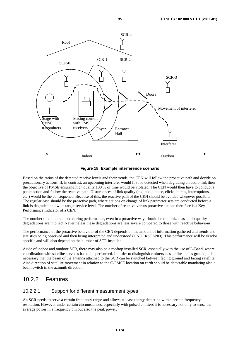

**Figure 18: Example interference scenario** 

Based on the ratios of the detected receive levels and their trends, the CEN will follow the proactive path and decide on precautionary actions. If, in contrast, an upcoming interferer would first be detected when degrading an audio link then the objective of PMSE ensuring high quality 100 % of time would be violated. The CEN would then have to conduct a panic action and follow the reactive path. Disturbances of link quality (e.g. audio noise, clicks, bursts, interruptions, etc.) would be the consequence. Because of this, the reactive path of the CEN should be avoided whenever possible. The regular case should be the proactive path, where actions on change of link parameter sets are conducted before a link is degraded below its target service level. The number of reactive versus proactive actions therefore is a Key Performance Indicator of a CEN.

The number of counteractions during performance, even in a proactive way, should be minimized as audio quality degradations are implied. Nevertheless these degradations are less severe compared to those with reactive behaviour.

The performance of the proactive behaviour of the CEN depends on the amount of information gathered and trends and statistics being observed and then being interpreted and understood (UNDERSTAND). This performance will be vendor specific and will also depend on the number of SCR installed.

Aside of indoor and outdoor SCR, there may also be a rooftop installed SCR, especially with the use of L-Band, where coordination with satellite services has to be performed. In order to distinguish emitters as satellite and as ground, it is necessary that the beam of the antenna attached to the SCR can be switched between facing ground and facing satellite. Also direction of satellite movement in relation to the C-PMSE location on earth should be detectable mandating also a beam switch in the azimuth direction.

### 10.2.2 Features

#### 10.2.2.1 Support for different measurement types

An SCR needs to serve a certain frequency range and allows at least energy detection with a certain frequency resolution. However under certain circumstances, especially with pulsed emitters it is necessary not only to sense the average power in a frequency bin but also the peak power.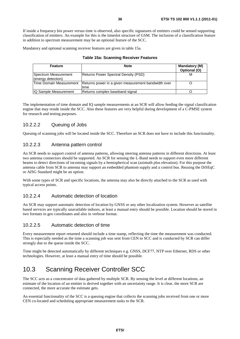If inside a frequency bin power versus time is observed, also specific signatures of emitters could be sensed supporting classification of emitters. An example for this is the timeslot structure of GSM. The inclusion of a classification feature in addition to spectrum measurement may be an optional feature of the SCC.

Mandatory and optional scanning receiver features are given in table 15a.

#### **Table 15a: Scanning Receiver Features**

| <b>Feature</b>                             | <b>Note</b>                                                  | <b>Mandatory (M)</b><br>Optional (O) |
|--------------------------------------------|--------------------------------------------------------------|--------------------------------------|
| Spectrum Measurement<br>(energy detection) | <b>Returns Power Spectral Density (PSD)</b>                  | м                                    |
| Time Domain Measurement                    | Returns power in a given measurement bandwidth over<br>ltime |                                      |
| IQ Sample Measurement                      | Returns complex baseband signal                              |                                      |

The implementation of time domain and IQ sample measurements at an SCR will allow feeding the signal classification engine that may reside inside the SCC. Also these features are very helpful during development of a C-PMSE system for research and testing purposes.

#### 10.2.2.2 Queuing of Jobs

Queuing of scanning jobs will be located inside the SCC. Therefore an SCR does not have to include this functionality.

#### 10.2.2.3 Antenna pattern control

An SCR needs to support control of antenna patterns, allowing steering antenna patterns in different directions. At least two antenna connectors should be supported. An SCR for sensing the L-Band needs to support even more different beams to detect directions of incoming signals by a hemispherical scan (azimuth plus elevation). For this purpose the antenna cable from SCR to antenna may support an embedded phantom supply and a control bus. Reusing the DiSEqC or AISG Standard might be an option.

With some types of SCR and specific locations, the antenna may also be directly attached to the SCR as used with typical access points.

#### 10.2.2.4 Automatic detection of location

An SCR may support automatic detection of location by GNSS or any other localization system. However as satellite based services are typically unavailable indoors, at least a manual entry should be possible. Location should be stored in two formats in geo coordinates and also in verbose format.

#### 10.2.2.5 Automatic detection of time

Every measurement report returned should include a time stamp, reflecting the time the measurement was conducted. This is especially needed as the time a scanning job was sent from CEN to SCC and is conducted by SCR can differ strongly due to the queue inside the SCC.

Time might be detected automatically by different techniques e.g. GNSS, DCF77, NTP over Ethernet, RDS or other technologies. However, at least a manual entry of time should be possible.

# 10.3 Scanning Receiver Controller SCC

The SCC acts as a concentrator of data gathered by multiple SCR. By sensing the level at different locations, an estimate of the location of an emitter is derived together with an uncertainty range. It is clear, the more SCR are connected, the more accurate the estimate gets.

An essential functionality of the SCC is a queuing engine that collects the scanning jobs received from one or more CEN co-located and scheduling appropriate measurement tasks to the SCR.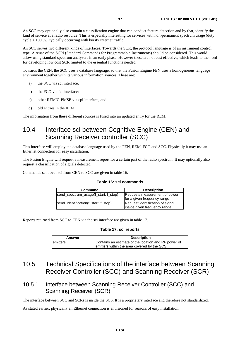An SCC may optionally also contain a classification engine that can conduct feature detection and by that, identify the kind of service at a radio resource. This is especially interesting for services with non-permanent spectrum usage (duty cycle < 100 %), typically occurring with bursty internet traffic.

An SCC serves two different kinds of interfaces. Towards the SCR, the protocol language is of an instrument control type. A reuse of the SCPI (Standard Commands for Programmable Instruments) should be considered. This would allow using standard spectrum analyzers in an early phase. However these are not cost effective, which leads to the need for developing low cost SCR limited to the essential functions needed.

Towards the CEN, the SCC uses a database language, so that the Fusion Engine FEN uses a homogeneous language environment together with its various information sources. These are:

- a) the SCC via sci interface;
- b) the FCO via fci interface:
- c) other REM/C-PMSE via cpi interface; and
- d) old entries in the REM.

The information from these different sources is fused into an updated entry for the REM.

### 10.4 Interface sci between Cognitive Engine (CEN) and Scanning Receiver controller (SCC)

This interface will employ the database language used by the FEN, REM, FCO and SCC. Physically it may use an Ethernet connection for easy installation.

The Fusion Engine will request a measurement report for a certain part of the radio spectrum. It may optionally also request a classification of signals detected.

Commands sent over sci from CEN to SCC are given in table 16.

#### **Table 16: sci commands**

| Command                              | <b>Description</b>               |
|--------------------------------------|----------------------------------|
| send_spectrum_usage(f_start, f_stop) | Requests measurement of power    |
|                                      | for a given frequency range      |
| send_identification(f_start, f_stop) | Request identification of signal |
|                                      | inside given frequency range     |

Reports returned from SCC to CEN via the sci interface are given in table 17.

#### **Table 17: sci reports**

| Answer    | <b>Description</b>                                   |
|-----------|------------------------------------------------------|
| lemitters | Contains an estimate of the location and RF power of |
|           | emitters within the area covered by the SCS          |

### 10.5 Technical Specifications of the interface between Scanning Receiver Controller (SCC) and Scanning Receiver (SCR)

### 10.5.1 Interface between Scanning Receiver Controller (SCC) and Scanning Receiver (SCR)

The interface between SCC and SCRs is inside the SCS. It is a proprietary interface and therefore not standardized.

As stated earlier, physically an Ethernet connection is envisioned for reasons of easy installation.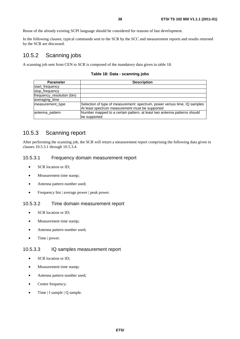Reuse of the already existing SCPI language should be considered for reasons of fast development.

In the following clauses, typical commands sent to the SCR by the SCC and measurement reports and results returned by the SCR are discussed.

### 10.5.2 Scanning jobs

A scanning job sent from CEN to SCR is composed of the mandatory data given in table 18.

**Table 18: Data - scanning jobs**

| <b>Parameter</b>           | <b>Description</b>                                                                                                           |
|----------------------------|------------------------------------------------------------------------------------------------------------------------------|
| start_frequency            |                                                                                                                              |
| stop_frequency             |                                                                                                                              |
| frequency_resolution (bin) |                                                                                                                              |
| averaging_time             |                                                                                                                              |
| measurement type           | Selection of type of measurement: spectrum, power versus time, IQ samples<br>At least spectrum measurement must be supported |
| antenna pattern            | Number mapped to a certain pattern, at least two antenna patterns should<br>be supported                                     |

### 10.5.3 Scanning report

After performing the scanning job, the SCR will return a measurement report comprising the following data given in clauses 10.5.3.1 through 10.5.3.4.

#### 10.5.3.1 Frequency domain measurement report

- SCR location or ID;
- Measurement time stamp;
- Antenna pattern number used;
- Frequency bin | average power | peak power.

#### 10.5.3.2 Time domain measurement report

- SCR location or ID;
- Measurement time stamp;
- Antenna pattern number used;
- Time | power.

#### 10.5.3.3 IQ samples measurement report

- SCR location or ID:
- Measurement time stamp;
- Antenna pattern number used;
- Centre frequency;
- Time | I sample | Q sample.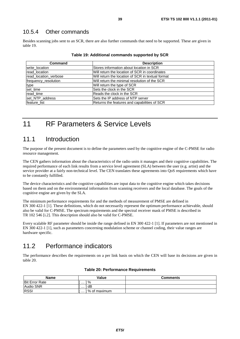### 10.5.4 Other commands

Besides scanning jobs sent to an SCR, there are also further commands that need to be supported. These are given in table 19.

| Command               | <b>Description</b>                                |  |
|-----------------------|---------------------------------------------------|--|
| write location        | Stores information about location in SCR          |  |
| read location         | Will return the location of SCR in coordinates    |  |
| read_location_verbose | Will return the location of SCR in textual format |  |
| frequency_resolution  | Will return the minimal resolution of the SCR     |  |
| type                  | Will return the type of SCR                       |  |
| set_time              | Sets the clock in the SCR                         |  |
| read time             | Reads the clock in the SCR                        |  |
| set_NTP_address       | Sets the IP address of NTP server                 |  |
| feature_list          | Returns the features and capabilities of SCR      |  |

#### **Table 19: Additional commands supported by SCR**

# 11 RF Parameters & Service Levels

### 11.1 Introduction

The purpose of the present document is to define the parameters used by the cognitive engine of the C-PMSE for radio resource management.

The CEN gathers information about the characteristics of the radio units it manages and their cognitive capabilities. The required performance of each link results from a service level agreement (SLA) between the user (e.g. artist) and the service provider at a fairly non-technical level. The CEN translates these agreements into QoS requirements which have to be constantly fulfilled.

The device characteristics and the cognitive capabilities are input data to the cognitive engine which takes decisions based on them and on the environmental information from scanning receivers and the local database. The goals of the cognitive engine are given by the SLA.

The minimum performance requirements for and the methods of measurement of PMSE are defined in EN 300 422-1 [1]. These definitions, which do not necessarily represent the optimum performance achievable, should also be valid for C-PMSE. The spectrum requirements and the spectral receiver mask of PMSE is described in TR 102 546 [i.2]. This description should also be valid for C-PMSE.

Every scalable RF parameter should be inside the range defined in EN 300 422-1 [1]. If parameters are not mentioned in EN 300 422-1 [1], such as parameters concerning modulation scheme or channel coding, their value ranges are hardware specific.

# 11.2 Performance indicators

The performance describes the requirements on a per link basis on which the CEN will base its decisions are given in table 20.

| Name                  | Value               | <b>Comments</b> |
|-----------------------|---------------------|-----------------|
| <b>Bit Error Rate</b> | %<br>.              |                 |
| Audio SNR             | dB<br>.             |                 |
| <b>RSSI</b>           | l % of maximum<br>. |                 |

#### **Table 20: Performance Requirements**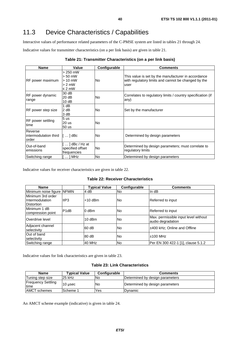# 11.3 Device Characteristics / Capabilities

Interactive values of performance related parameters of the C-PMSE system are listed in tables 21 through 24.

Indicative values for transmitter characteristics (on a per link basis) are given in table 21.

| Table 21: Transmitter Characteristics (on a per link basis) |  |
|-------------------------------------------------------------|--|
|-------------------------------------------------------------|--|

| <b>Name</b>                               | Value                                                           | Configurable | <b>Comments</b>                                                                                                    |
|-------------------------------------------|-----------------------------------------------------------------|--------------|--------------------------------------------------------------------------------------------------------------------|
| RF power maximum                          | $> 250$ mW<br>$> 50$ mW<br>$> 10$ mW<br>$> 2$ mW<br>$\leq$ 2 mW | No.          | This value is set by the manufacturer in accordance<br>with regulatory limits and cannot be changed by the<br>user |
| RF power dynamic<br>range                 | 30 dB<br>20 dB<br>10dB                                          | <b>No</b>    | Correlates to regulatory limits / country specification (if<br>any)                                                |
| RF power step size                        | 1 dB<br>2 dB<br>3 dB                                            | No.          | Set by the manufacturer                                                                                            |
| RF power settling<br>time                 | 5 <sub>us</sub><br>20 us<br>50 us                               | <b>No</b>    |                                                                                                                    |
| Reverse<br>intermodulation third<br>order | l[ … ] dBc                                                      | No.          | Determined by design parameters                                                                                    |
| Out-of-band<br>emissions                  | [  ] dBc / Hz at<br>specified offset<br>frequencies             | <b>No</b>    | Determined by design parameters; must correlate to<br>regulatory limits                                            |
| Switching range                           | $\ldots$ ] MHz                                                  | <b>No</b>    | Determined by design parameters                                                                                    |

Indicative values for receiver characteristics are given in table 22.

**Table 22: Receiver Characteristics** 

| <b>Name</b>                                                |                  | <b>Typical Value</b> | Configurable | <b>Comments</b>                                           |
|------------------------------------------------------------|------------------|----------------------|--------------|-----------------------------------------------------------|
| Minimum noise figure NFMIN                                 |                  | 4 dB                 | <b>No</b>    | In dB                                                     |
| Minimum 3rd order<br>IIntermodulation<br><b>Distortion</b> | IIP <sub>3</sub> | $+10$ dBm            | <b>No</b>    | Referred to input                                         |
| Minimum 1 dB<br>compression point                          | P <sub>1dB</sub> | $0$ dBm              | <b>No</b>    | Referred to input                                         |
| Overdrive level                                            |                  | $10$ dBm             | <b>No</b>    | Max. permissible input level without<br>audio degradation |
| Adiacent channel<br>selectivity                            |                  | 60 dB                | <b>No</b>    | ±400 kHz; Online and Offline                              |
| Out of band<br>selectivity                                 |                  | 80 dB                | <b>No</b>    | l±100 MHz                                                 |
| Switching range                                            |                  | 40 MHz               | <b>No</b>    | Per EN 300 422-1 [1], clause 5.1.2                        |

Indicative values for link characteristics are given in table 23.

#### **Table 23: Link Characteristics**

| <b>Name</b>                       | <b>Typical Value</b> | Configurable | <b>Comments</b>                 |
|-----------------------------------|----------------------|--------------|---------------------------------|
| Tuning step size                  | 25 kHz               | lNo          | Determined by design parameters |
| <b>Frequency Settling</b><br>time | 10 usec              | No           | Determined by design parameters |
| <b>AMCT</b> schemes               | <b>Scheme 1</b>      | Yes          | Dvnamic                         |

An AMCT scheme example (indicative) is given in table 24.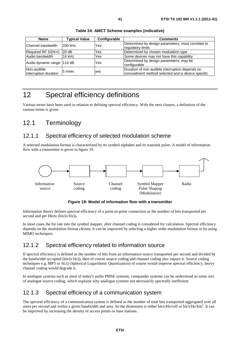| <b>Name</b>                          | <b>Typical Value</b> | Configurable | <b>Comments</b>                                                                                       |
|--------------------------------------|----------------------|--------------|-------------------------------------------------------------------------------------------------------|
| Channel bandwidth                    | 200 kHz              | Yes          | Determined by design parameters; must correlate to<br>regulatory limits                               |
| Required RF S/(N+I)                  | 20 dB                | Yes          | Determined by chosen modulation type                                                                  |
| Audio bandwidth                      | 16 kHz               | Yes          | Some devices may not have this capability                                                             |
| Audio dynamic range 110 dB           |                      | Yes          | Determined by design parameters; may be<br>Iconfigurable                                              |
| Non-audible<br>interruption duration | 5 msec               | <b>ves</b>   | Duration of non-audible interruption depends on<br>concealment method selected and is device specific |

**Table 24: AMCT Scheme examples (indicative)** 

# 12 Spectral efficiency definitions

Various terms have been used in relation to defining spectral efficiency. With the next clauses, a definition of the various terms is given.

# 12.1 Terminology

### 12.1.1 Spectral efficiency of selected modulation scheme

A selected modulation format is characterized by its symbol alphabet and its transmit pulse. A model of information flow with a transmitter is given in figure 19.



**Figure 19: Model of information flow with a transmitter** 

Information theory defines spectral efficiency of a point-to-point connection as the number of bits transported per second and per Hertz (bit/(s Hz)).

Hz)).<br>to the s In most cases the bit rate into the symbol mapper, after channel coding is considered for calculation. Spectral efficiency depends on the modulation format chosen. It can be improved by selecting a higher order modulation format or by using MIMO techniques.

### 12.1.2 Spectral efficiency related to information source

If spectral efficiency is defined as the number of bits from an information source transported per second and divided by the bandwidth occupied (bit/ $(s Hz)$ ), then of course source coding and channel coding also impact it. Source coding ·Hz)), then of course source coding and channel coding also impact it. Source coding techniques e.g. MP3 or SLQ (Spherical Logarithmic Quantization) of course would improve spectral efficiency; heavy channel coding would degrade it.

In analogue systems such as most of today's audio PMSE systems, compander systems can be understood as some sort of analogue source coding, which explains why analogue systems not necessarily spectrally inefficient.

### 12.1.3 Spectral efficiency of a communication system

The spectral efficiency of a communication system is defined as the number of total bits transported aggregated over all users per second and within a given bandwidth and area. So the dimension is either bit/s/Hz/cell or bit/s/Hz/km<sup>2</sup>. It can be improved by increasing the density of access points or base stations.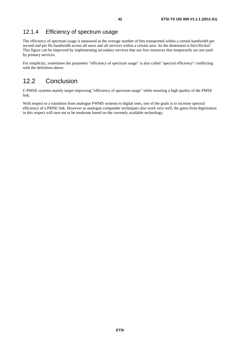### 12.1.4 Efficiency of spectrum usage

The efficiency of spectrum usage is measured as the average number of bits transported within a certain bandwidth per second and per Hz bandwidth across all users and all services within a certain area. So the dimension is bit/s/Hz/km<sup>2</sup>. This figure can be improved by implementing secondary services that use free resources that temporarily are not used by primary services.

For simplicity, sometimes the parameter "efficiency of spectrum usage" is also called "spectral efficiency" conflicting with the definition above.

### 12.2 Conclusion

C-PMSE systems mainly target improving "efficiency of spectrum usage" while ensuring a high quality of the PMSE link.

With respect to a transition from analogue PWMS systems to digital ones, one of the goals is to increase spectral efficiency of a PMSE link. However as analogue compander techniques also work very well, the gains from digitization in this respect will turn out to be moderate based on the currently available technology.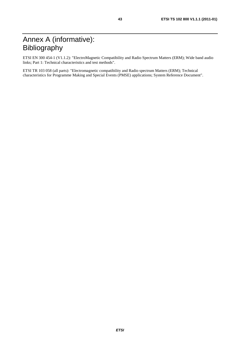# Annex A (informative): Bibliography

ETSI EN 300 454-1 (V1.1.2): "ElectroMagnetic Compatibility and Radio Spectrum Matters (ERM); Wide band audio links; Part 1: Technical characteristics and test methods".

ETSI TR 103 058 (all parts): "Electromagnetic compatibility and Radio spectrum Matters (ERM); Technical characteristics for Programme Making and Special Events (PMSE) applications; System Reference Document".